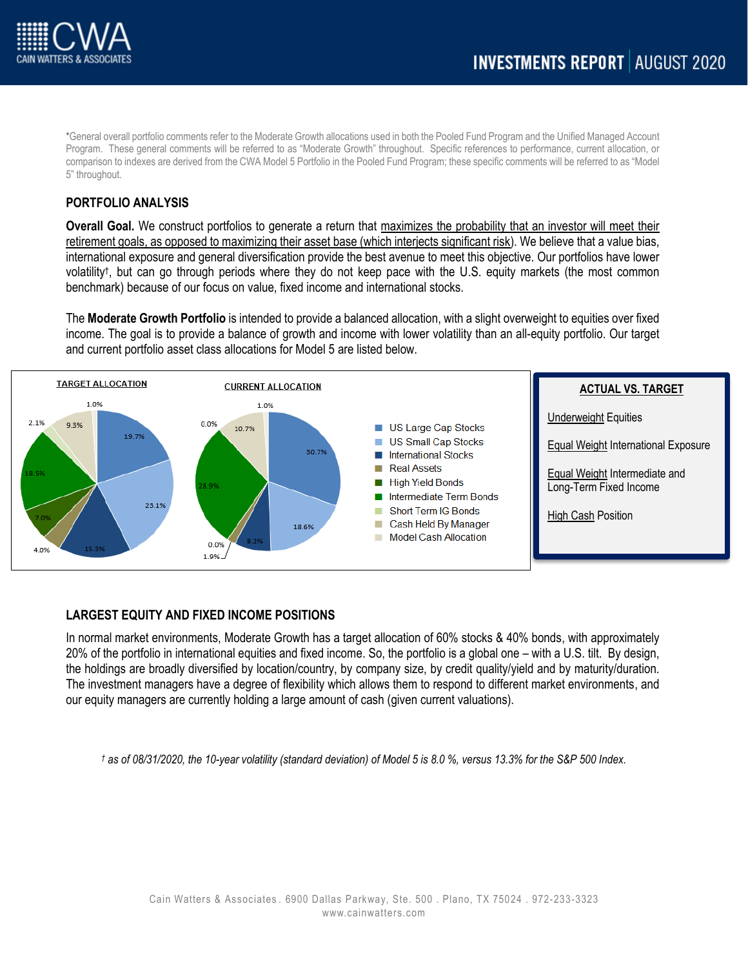

\*General overall portfolio comments refer to the Moderate Growth allocations used in both the Pooled Fund Program and the Unified Managed Account Program. These general comments will be referred to as "Moderate Growth" throughout. Specific references to performance, current allocation, or comparison to indexes are derived from the CWA Model 5 Portfolio in the Pooled Fund Program; these specific comments will be referred to as "Model 5" throughout.

## **PORTFOLIO ANALYSIS**

**Overall Goal.** We construct portfolios to generate a return that maximizes the probability that an investor will meet their retirement goals, as opposed to maximizing their asset base (which interjects significant risk). We believe that a value bias, international exposure and general diversification provide the best avenue to meet this objective. Our portfolios have lower volatility† , but can go through periods where they do not keep pace with the U.S. equity markets (the most common benchmark) because of our focus on value, fixed income and international stocks.

The **Moderate Growth Portfolio** is intended to provide a balanced allocation, with a slight overweight to equities over fixed income. The goal is to provide a balance of growth and income with lower volatility than an all-equity portfolio. Our target and current portfolio asset class allocations for Model 5 are listed below.



# **LARGEST EQUITY AND FIXED INCOME POSITIONS**

In normal market environments, Moderate Growth has a target allocation of 60% stocks & 40% bonds, with approximately 20% of the portfolio in international equities and fixed income. So, the portfolio is a global one – with a U.S. tilt. By design, the holdings are broadly diversified by location/country, by company size, by credit quality/yield and by maturity/duration. The investment managers have a degree of flexibility which allows them to respond to different market environments, and our equity managers are currently holding a large amount of cash (given current valuations).

*† as of 08/31/2020, the 10-year volatility (standard deviation) of Model 5 is 8.0 %, versus 13.3% for the S&P 500 Index.*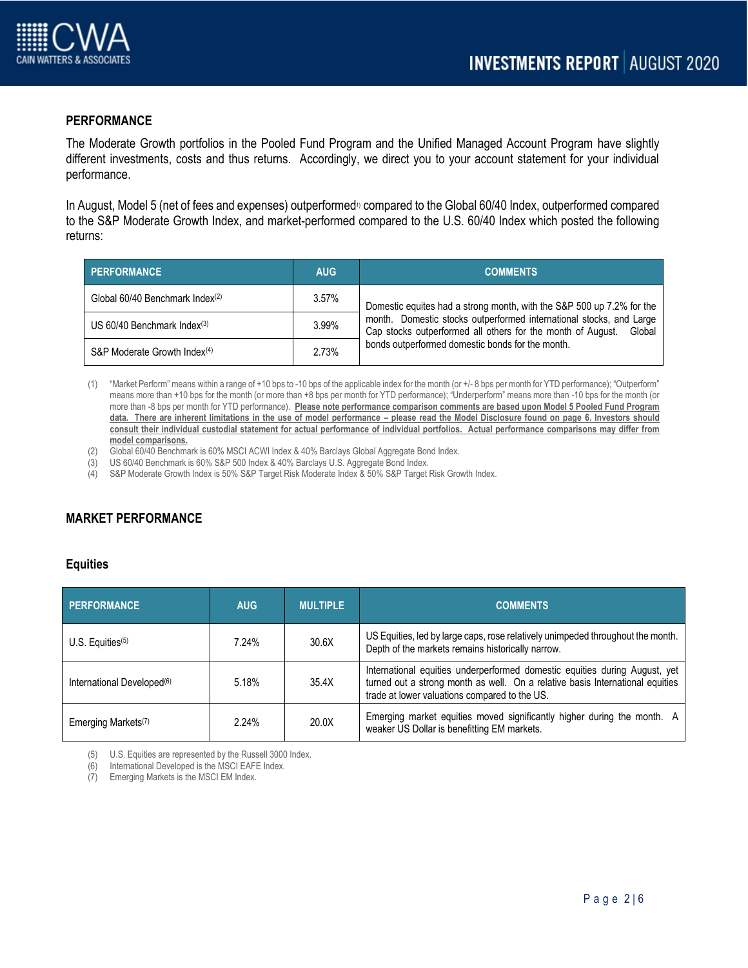

## **PERFORMANCE**

The Moderate Growth portfolios in the Pooled Fund Program and the Unified Managed Account Program have slightly different investments, costs and thus returns. Accordingly, we direct you to your account statement for your individual performance.

In August, Model 5 (net of fees and expenses) outperformed<sup>1</sup> compared to the Global 60/40 Index, outperformed compared to the S&P Moderate Growth Index, and market-performed compared to the U.S. 60/40 Index which posted the following returns:

| <b>PERFORMANCE</b>                          | <b>AUG</b> | <b>COMMENTS</b>                                                                                                                              |
|---------------------------------------------|------------|----------------------------------------------------------------------------------------------------------------------------------------------|
| Global 60/40 Benchmark Index <sup>(2)</sup> | $3.57\%$   | Domestic equites had a strong month, with the S&P 500 up 7.2% for the                                                                        |
| US $60/40$ Benchmark Index <sup>(3)</sup>   | 3.99%      | month. Domestic stocks outperformed international stocks, and Large<br>Cap stocks outperformed all others for the month of August.<br>Global |
| S&P Moderate Growth Index <sup>(4)</sup>    | 2.73%      | bonds outperformed domestic bonds for the month.                                                                                             |

- (1) "Market Perform" means within a range of +10 bps to -10 bps of the applicable index for the month (or +/- 8 bps per month for YTD performance); "Outperform" means more than +10 bps for the month (or more than +8 bps per month for YTD performance); "Underperform" means more than -10 bps for the month (or more than -8 bps per month for YTD performance). **Please note performance comparison comments are based upon Model 5 Pooled Fund Program**  data. There are inherent limitations in the use of model performance – please read the Model Disclosure found on page 6. Investors should **consult their individual custodial statement for actual performance of individual portfolios. Actual performance comparisons may differ from model comparisons.**
- (2) Global 60/40 Benchmark is 60% MSCI ACWI Index & 40% Barclays Global Aggregate Bond Index.
- (3) US 60/40 Benchmark is 60% S&P 500 Index & 40% Barclays U.S. Aggregate Bond Index.
- (4) S&P Moderate Growth Index is 50% S&P Target Risk Moderate Index & 50% S&P Target Risk Growth Index.

# **MARKET PERFORMANCE**

#### **Equities**

| <b>PERFORMANCE</b>                     | <b>AUG</b> | <b>MULTIPLE</b> | <b>COMMENTS</b>                                                                                                                                                                                              |
|----------------------------------------|------------|-----------------|--------------------------------------------------------------------------------------------------------------------------------------------------------------------------------------------------------------|
| U.S. Equities $(5)$                    | 7.24%      | 30.6X           | US Equities, led by large caps, rose relatively unimpeded throughout the month.<br>Depth of the markets remains historically narrow.                                                                         |
| International Developed <sup>(6)</sup> | 5.18%      | 35.4X           | International equities underperformed domestic equities during August, yet<br>turned out a strong month as well. On a relative basis International equities<br>trade at lower valuations compared to the US. |
| Emerging Markets <sup>(7)</sup>        | 2.24%      | 20.0X           | Emerging market equities moved significantly higher during the month. A<br>weaker US Dollar is benefitting EM markets.                                                                                       |

(5) U.S. Equities are represented by the Russell 3000 Index.<br>(6) International Developed is the MSCLEAFE Index

International Developed is the MSCI EAFE Index.

(7) Emerging Markets is the MSCI EM Index.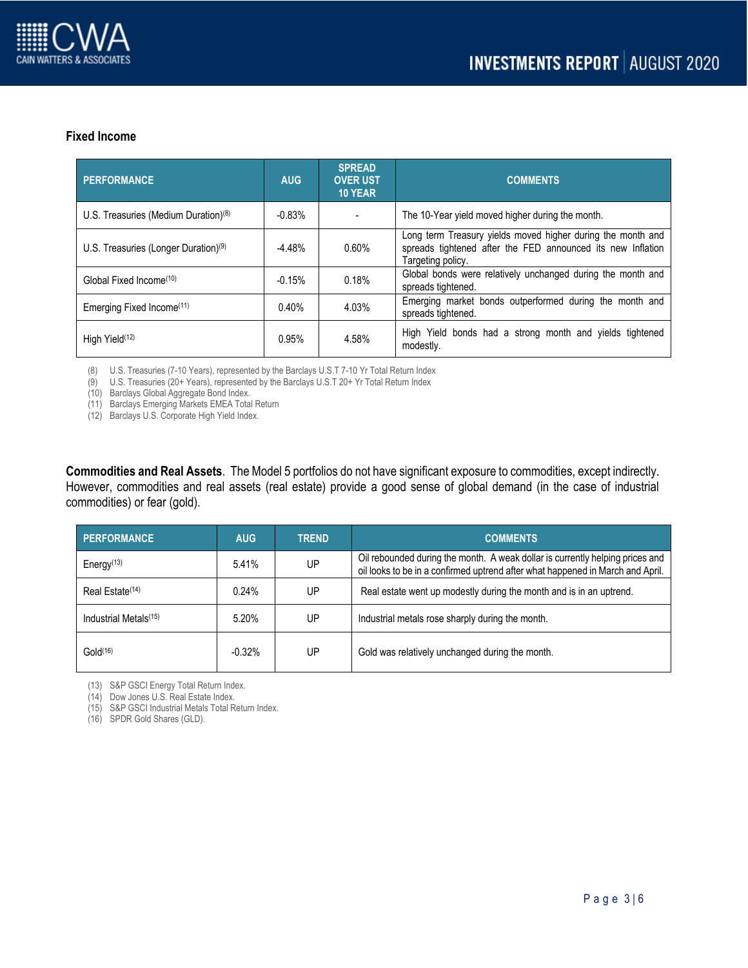### **Fixed Income**

| PERFORMANCE                             | <b>AUG</b> | <b>SPREAD</b><br><b>OVER UST</b><br><b>10 YEAR</b> | <b>COMMENTS</b>                                                                                                                                 |
|-----------------------------------------|------------|----------------------------------------------------|-------------------------------------------------------------------------------------------------------------------------------------------------|
| U.S. Treasuries (Medium Duration) $(8)$ | $-0.83%$   |                                                    | The 10-Year yield moved higher during the month.                                                                                                |
| U.S. Treasuries (Longer Duration) $(9)$ | $-4.48%$   | 0.60%                                              | Long term Treasury yields moved higher during the month and<br>spreads tightened after the FED announced its new Inflation<br>Targeting policy. |
| Global Fixed Income <sup>(10)</sup>     | $-0.15%$   | 0.18%                                              | Global bonds were relatively unchanged during the month and<br>spreads tightened.                                                               |
| Emerging Fixed Income <sup>(11)</sup>   | 0.40%      | 4.03%                                              | Emerging market bonds outperformed during the month and<br>spreads tightened.                                                                   |
| High Yield <sup>(12)</sup>              | 0.95%      | 4.58%                                              | High Yield bonds had a strong month and yields tightened<br>modestly.                                                                           |

(8) U.S. Treasuries (7-10 Years), represented by the Barclays U.S.T 7-10 Yr Total Return Index

(9) U.S. Treasuries (20+ Years), represented by the Barclays U.S.T 20+ Yr Total Return Index

(10) Barclays Global Aggregate Bond Index.

(11) Barclays Emerging Markets EMEA Total Return

(12) Barclays U.S. Corporate High Yield Index.

**Commodities and Real Assets**. The Model 5 portfolios do not have significant exposure to commodities, except indirectly. However, commodities and real assets (real estate) provide a good sense of global demand (in the case of industrial commodities) or fear (gold).

| <b>PERFORMANCE</b>                | <b>AUG</b> | <b>TREND</b> | <b>COMMENTS</b>                                                                                                                                                 |
|-----------------------------------|------------|--------------|-----------------------------------------------------------------------------------------------------------------------------------------------------------------|
| Energy $(13)$                     | 5.41%      | UP           | Oil rebounded during the month. A weak dollar is currently helping prices and<br>oil looks to be in a confirmed uptrend after what happened in March and April. |
| Real Estate <sup>(14)</sup>       | 0.24%      | UP           | Real estate went up modestly during the month and is in an uptrend.                                                                                             |
| Industrial Metals <sup>(15)</sup> | 5.20%      | UP           | Industrial metals rose sharply during the month.                                                                                                                |
| Gold <sup>(16)</sup>              | $-0.32%$   | UP           | Gold was relatively unchanged during the month.                                                                                                                 |

(13) S&P GSCI Energy Total Return Index.

(14) Dow Jones U.S. Real Estate Index.

(15) S&P GSCI Industrial Metals Total Return Index.

(16) SPDR Gold Shares (GLD).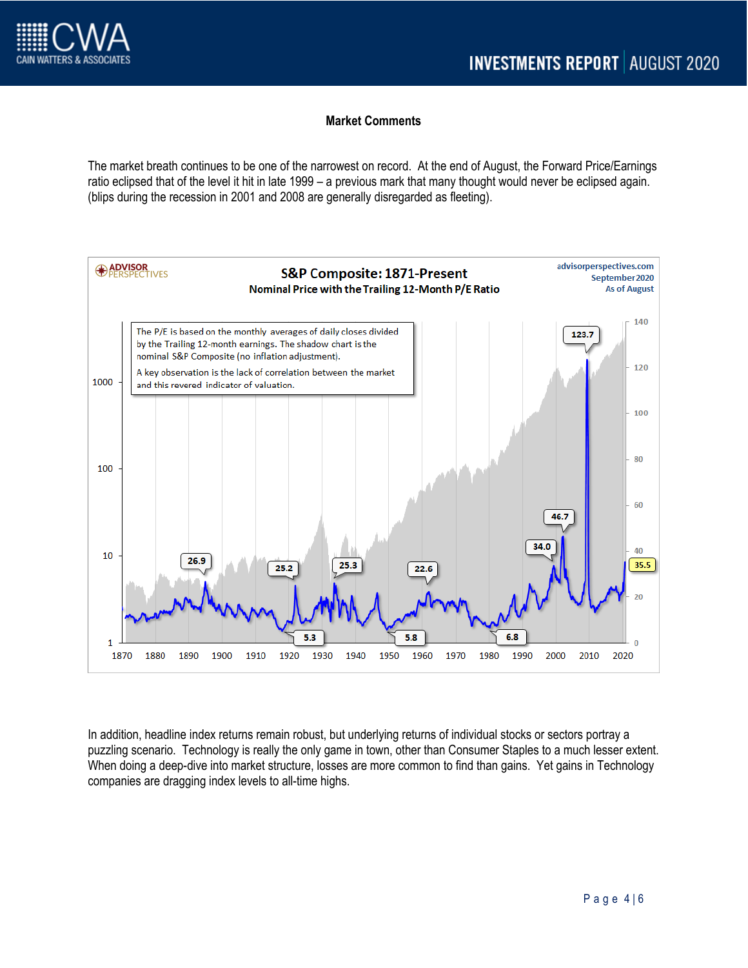# **Market Comments**

The market breath continues to be one of the narrowest on record. At the end of August, the Forward Price/Earnings ratio eclipsed that of the level it hit in late 1999 – a previous mark that many thought would never be eclipsed again. (blips during the recession in 2001 and 2008 are generally disregarded as fleeting).



In addition, headline index returns remain robust, but underlying returns of individual stocks or sectors portray a puzzling scenario. Technology is really the only game in town, other than Consumer Staples to a much lesser extent. When doing a deep-dive into market structure, losses are more common to find than gains. Yet gains in Technology companies are dragging index levels to all-time highs.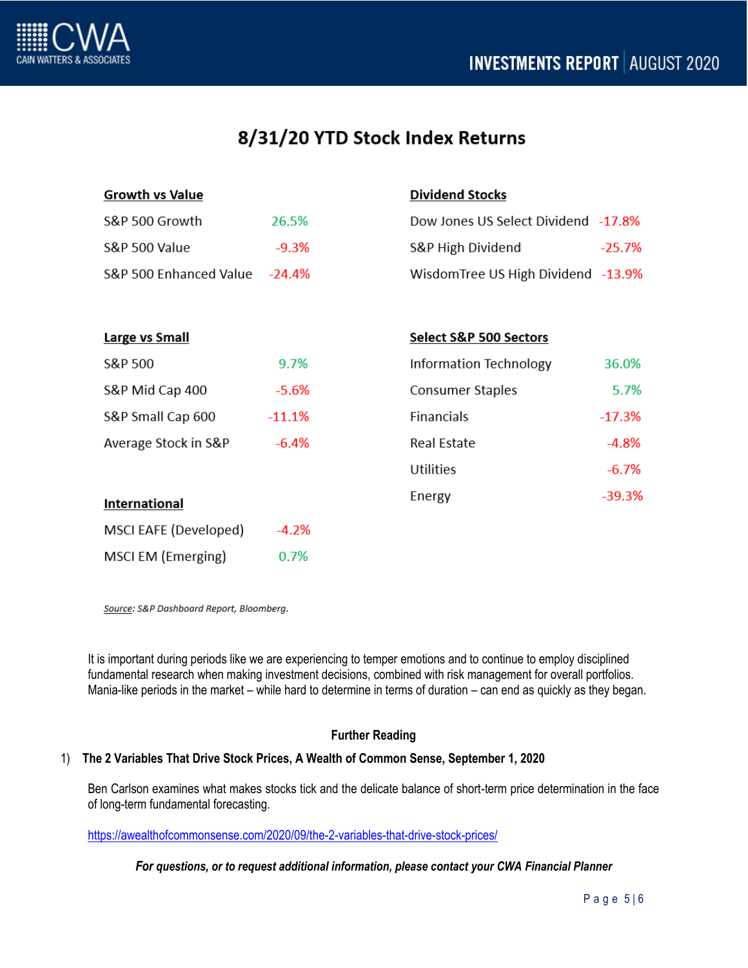

# 8/31/20 YTD Stock Index Returns

| <b>Growth vs Value</b>   |          | <b>Dividend Stocks</b>              |          |
|--------------------------|----------|-------------------------------------|----------|
| S&P 500 Growth           | 26.5%    | Dow Jones US Select Dividend -17.8% |          |
| <b>S&amp;P 500 Value</b> | $-9.3%$  | S&P High Dividend                   | $-25.7%$ |
| S&P 500 Enhanced Value   | $-24.4%$ | WisdomTree US High Dividend -13.9%  |          |
|                          |          |                                     |          |
| <b>Large vs Small</b>    |          | Select S&P 500 Sectors              |          |
| S&P 500                  | 9.7%     | Information Technology              | 36.0%    |
| S&P Mid Cap 400          | $-5.6%$  | <b>Consumer Staples</b>             | 5.7%     |
| S&P Small Cap 600        | $-11.1%$ | Financials                          | $-17.3%$ |
| Average Stock in S&P     | $-6.4%$  | Real Estate                         | $-4.8%$  |
|                          |          | <b>Utilities</b>                    | $-6.7%$  |
| International            |          | Energy                              | $-39.3%$ |
| MSCI EAFE (Developed)    | $-4.2%$  |                                     |          |
| MSCI EM (Emerging)       | 0.7%     |                                     |          |

Source: S&P Dashboard Report, Bloomberg.

It is important during periods like we are experiencing to temper emotions and to continue to employ disciplined fundamental research when making investment decisions, combined with risk management for overall portfolios. Mania-like periods in the market – while hard to determine in terms of duration – can end as quickly as they began.

# **Further Reading**

### 1) **The 2 Variables That Drive Stock Prices, A Wealth of Common Sense, September 1, 2020**

Ben Carlson examines what makes stocks tick and the delicate balance of short-term price determination in the face of long-term fundamental forecasting.

<https://awealthofcommonsense.com/2020/09/the-2-variables-that-drive-stock-prices/>

*For questions, or to request additional information, please contact your CWA Financial Planner*